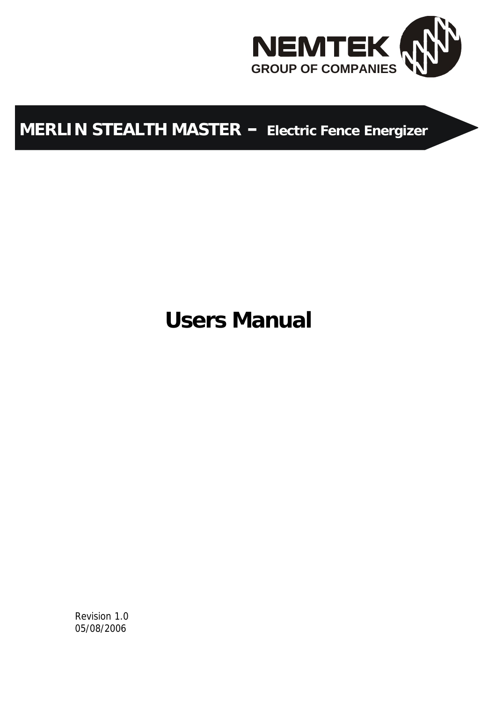

## **MERLIN STEALTH MASTER – Electric Fence Energizer**

# **Users Manual**

Revision 1.0 05/08/2006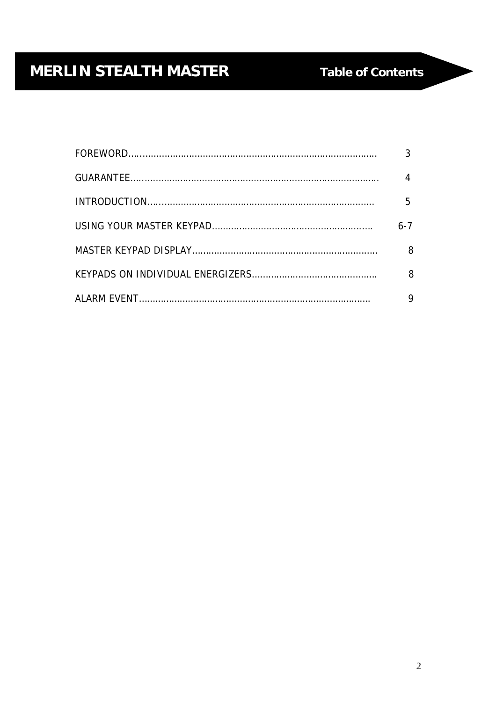| 5   |
|-----|
| 6-7 |
| 8   |
| 8   |
|     |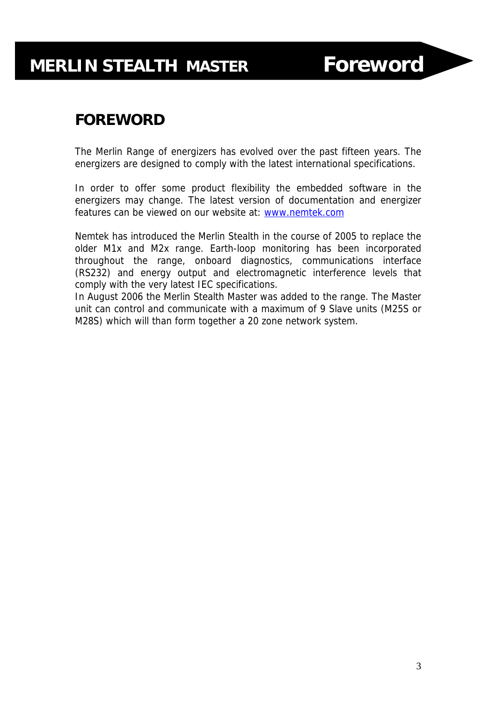## **FOREWORD**

The Merlin Range of energizers has evolved over the past fifteen years. The energizers are designed to comply with the latest international specifications.

In order to offer some product flexibility the embedded software in the energizers may change. The latest version of documentation and energizer features can be viewed on our website at: www.nemtek.com

Nemtek has introduced the Merlin Stealth in the course of 2005 to replace the older M1x and M2x range. Earth-loop monitoring has been incorporated throughout the range, onboard diagnostics, communications interface (RS232) and energy output and electromagnetic interference levels that comply with the very latest IEC specifications.

In August 2006 the Merlin Stealth Master was added to the range. The Master unit can control and communicate with a maximum of 9 Slave units (M25S or M28S) which will than form together a 20 zone network system.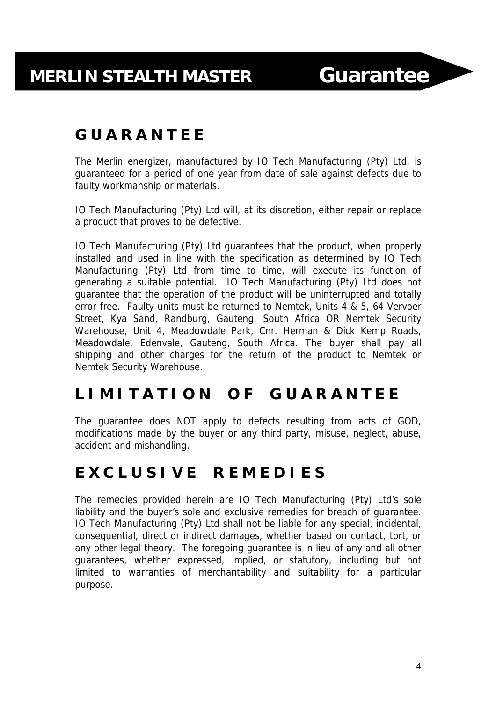## **G U A R A N T E E**

The Merlin energizer, manufactured by IO Tech Manufacturing (Pty) Ltd, is guaranteed for a period of one year from date of sale against defects due to faulty workmanship or materials.

IO Tech Manufacturing (Pty) Ltd will, at its discretion, either repair or replace a product that proves to be defective.

IO Tech Manufacturing (Pty) Ltd guarantees that the product, when properly installed and used in line with the specification as determined by IO Tech Manufacturing (Pty) Ltd from time to time, will execute its function of generating a suitable potential. IO Tech Manufacturing (Pty) Ltd does not guarantee that the operation of the product will be uninterrupted and totally error free. Faulty units must be returned to Nemtek, Units 4 & 5, 64 Vervoer Street, Kya Sand, Randburg, Gauteng, South Africa OR Nemtek Security Warehouse, Unit 4, Meadowdale Park, Cnr. Herman & Dick Kemp Roads, Meadowdale, Edenvale, Gauteng, South Africa. The buyer shall pay all shipping and other charges for the return of the product to Nemtek or Nemtek Security Warehouse.

## **L I M I T A T I O N O F G U A R A N T E E**

The guarantee does NOT apply to defects resulting from acts of GOD, modifications made by the buyer or any third party, misuse, neglect, abuse, accident and mishandling.

### **E X C L U S I V E R E M E D I E S**

The remedies provided herein are IO Tech Manufacturing (Pty) Ltd's sole liability and the buyer's sole and exclusive remedies for breach of guarantee. IO Tech Manufacturing (Pty) Ltd shall not be liable for any special, incidental, consequential, direct or indirect damages, whether based on contact, tort, or any other legal theory. The foregoing guarantee is in lieu of any and all other guarantees, whether expressed, implied, or statutory, including but not limited to warranties of merchantability and suitability for a particular purpose.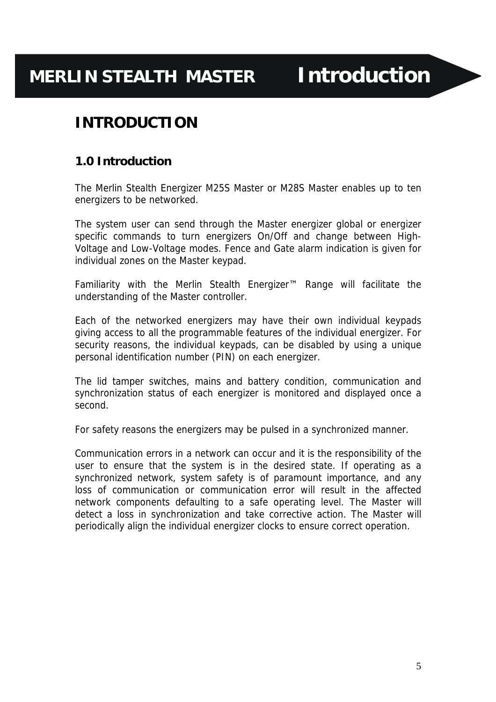## **MERLIN STEALTH MASTER Introduction**

## **INTRODUCTION**

#### **1.0 Introduction**

The Merlin Stealth Energizer M25S Master or M28S Master enables up to ten energizers to be networked.

The system user can send through the Master energizer global or energizer specific commands to turn energizers On/Off and change between High-Voltage and Low-Voltage modes. Fence and Gate alarm indication is given for individual zones on the Master keypad.

Familiarity with the Merlin Stealth Energizer™ Range will facilitate the understanding of the Master controller.

Each of the networked energizers may have their own individual keypads giving access to all the programmable features of the individual energizer. For security reasons, the individual keypads, can be disabled by using a unique personal identification number (PIN) on each energizer.

The lid tamper switches, mains and battery condition, communication and synchronization status of each energizer is monitored and displayed once a second.

For safety reasons the energizers may be pulsed in a synchronized manner.

Communication errors in a network can occur and it is the responsibility of the user to ensure that the system is in the desired state. If operating as a synchronized network, system safety is of paramount importance, and any loss of communication or communication error will result in the affected network components defaulting to a safe operating level. The Master will detect a loss in synchronization and take corrective action. The Master will periodically align the individual energizer clocks to ensure correct operation.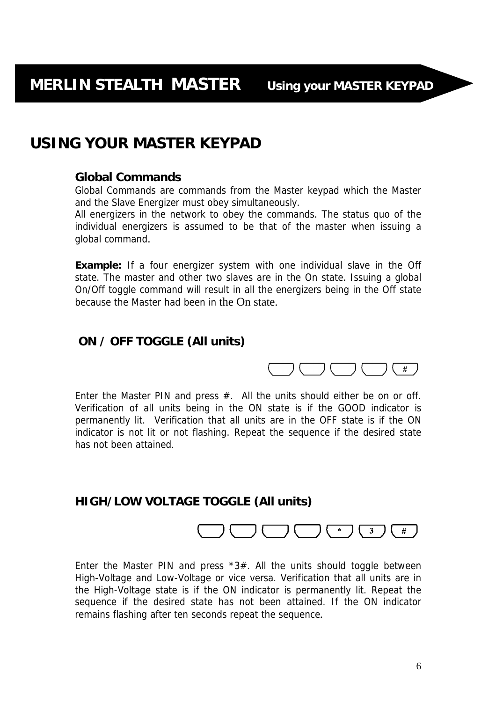## **USING YOUR MASTER KEYPAD**

#### **Global Commands**

Global Commands are commands from the Master keypad which the Master and the Slave Energizer must obey simultaneously.

All energizers in the network to obey the commands. The status quo of the individual energizers is assumed to be that of the master when issuing a global command.

**Example:** If a four energizer system with one individual slave in the Off state. The master and other two slaves are in the On state. Issuing a global On/Off toggle command will result in all the energizers being in the Off state because the Master had been in the On state.

#### **ON / OFF TOGGLE (All units)**



Enter the Master PIN and press  $#$ . All the units should either be on or off. Verification of all units being in the ON state is if the GOOD indicator is permanently lit. Verification that all units are in the OFF state is if the ON indicator is not lit or not flashing. Repeat the sequence if the desired state has not been attained.

#### **HIGH/LOW VOLTAGE TOGGLE (All units)**

#### $(*)$  $3<sup>1</sup>$  $#$

Enter the Master PIN and press  $*3#$ . All the units should toggle between High-Voltage and Low-Voltage or vice versa. Verification that all units are in the High-Voltage state is if the ON indicator is permanently lit. Repeat the sequence if the desired state has not been attained. If the ON indicator remains flashing after ten seconds repeat the sequence.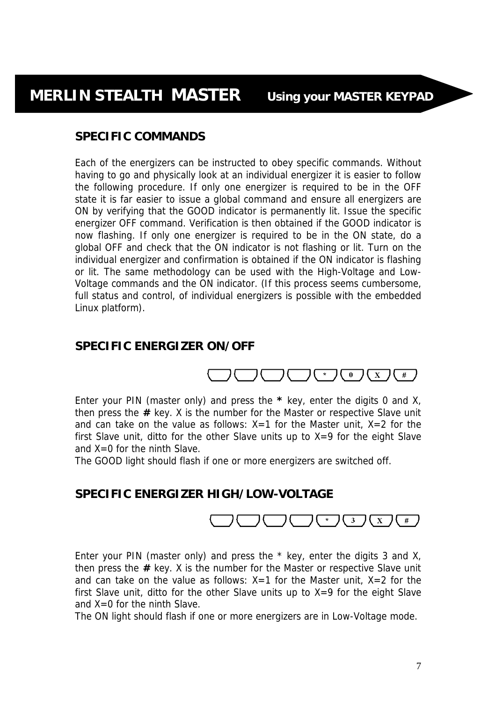#### **SPECIFIC COMMANDS**

Each of the energizers can be instructed to obey specific commands. Without having to go and physically look at an individual energizer it is easier to follow the following procedure. If only one energizer is required to be in the OFF state it is far easier to issue a global command and ensure all energizers are ON by verifying that the GOOD indicator is permanently lit. Issue the specific energizer OFF command. Verification is then obtained if the GOOD indicator is now flashing. If only one energizer is required to be in the ON state, do a global OFF and check that the ON indicator is not flashing or lit. Turn on the individual energizer and confirmation is obtained if the ON indicator is flashing or lit. The same methodology can be used with the High-Voltage and Low-Voltage commands and the ON indicator. (If this process seems cumbersome, full status and control, of individual energizers is possible with the embedded Linux platform).

#### **SPECIFIC ENERGIZER ON/OFF**



Enter your PIN (master only) and press the **\*** key, enter the digits 0 and X, then press the **#** key. X is the number for the Master or respective Slave unit and can take on the value as follows:  $X=1$  for the Master unit,  $X=2$  for the first Slave unit, ditto for the other Slave units up to  $X=9$  for the eight Slave and X=0 for the ninth Slave.

The GOOD light should flash if one or more energizers are switched off.

#### **SPECIFIC ENERGIZER HIGH/LOW-VOLTAGE**



Enter your PIN (master only) and press the \* key, enter the digits 3 and X, then press the **#** key. X is the number for the Master or respective Slave unit and can take on the value as follows:  $X=1$  for the Master unit,  $X=2$  for the first Slave unit, ditto for the other Slave units up to  $X=9$  for the eight Slave and X=0 for the ninth Slave.

The ON light should flash if one or more energizers are in Low-Voltage mode.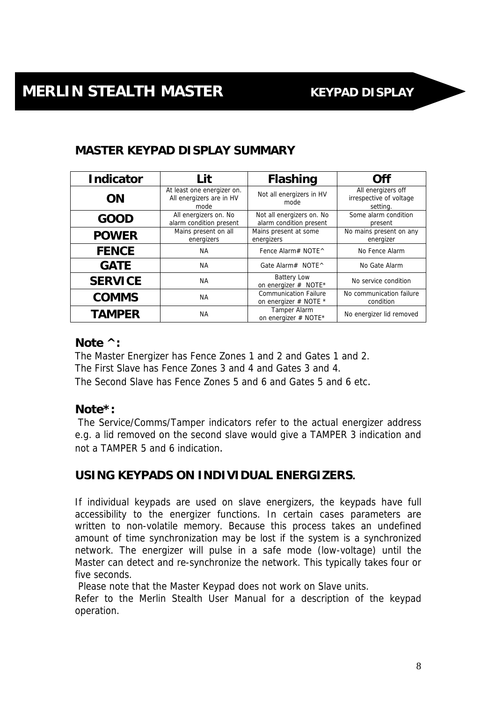### **MASTER KEYPAD DISPLAY SUMMARY**

| <b>Indicator</b> | Lit                                                            | <b>Flashing</b>                                       | Off                                                       |
|------------------|----------------------------------------------------------------|-------------------------------------------------------|-----------------------------------------------------------|
| <b>ON</b>        | At least one energizer on.<br>All energizers are in HV<br>mode | Not all energizers in HV<br>mode                      | All energizers off<br>irrespective of voltage<br>setting. |
| <b>GOOD</b>      | All energizers on. No<br>alarm condition present               | Not all energizers on. No<br>alarm condition present  | Some alarm condition<br>present                           |
| <b>POWER</b>     | Mains present on all<br>energizers                             | Mains present at some<br>energizers                   | No mains present on any<br>energizer                      |
| <b>FENCE</b>     | NA.                                                            | Fence Alarm# NOTE^                                    | No Fence Alarm                                            |
| <b>GATE</b>      | <b>NA</b>                                                      | Gate Alarm# NOTE ^                                    | No Gate Alarm                                             |
| <b>SERVICE</b>   | <b>NA</b>                                                      | <b>Battery Low</b><br>on energizer # NOTE*            | No service condition                                      |
| <b>COMMS</b>     | <b>NA</b>                                                      | <b>Communication Failure</b><br>on energizer # NOTE * | No communication failure<br>condition                     |
| <b>TAMPER</b>    | <b>NA</b>                                                      | Tamper Alarm<br>on energizer # NOTE*                  | No energizer lid removed                                  |

#### **Note ^:**

The Master Energizer has Fence Zones 1 and 2 and Gates 1 and 2. The First Slave has Fence Zones 3 and 4 and Gates 3 and 4. The Second Slave has Fence Zones 5 and 6 and Gates 5 and 6 etc.

#### **Note\*:**

 The Service/Comms/Tamper indicators refer to the actual energizer address e.g. a lid removed on the second slave would give a TAMPER 3 indication and not a TAMPER 5 and 6 indication.

#### **USING KEYPADS ON INDIVIDUAL ENERGIZERS.**

If individual keypads are used on slave energizers, the keypads have full accessibility to the energizer functions. In certain cases parameters are written to non-volatile memory. Because this process takes an undefined amount of time synchronization may be lost if the system is a synchronized network. The energizer will pulse in a safe mode (low-voltage) until the Master can detect and re-synchronize the network. This typically takes four or five seconds.

Please note that the Master Keypad does not work on Slave units.

Refer to the Merlin Stealth User Manual for a description of the keypad operation.